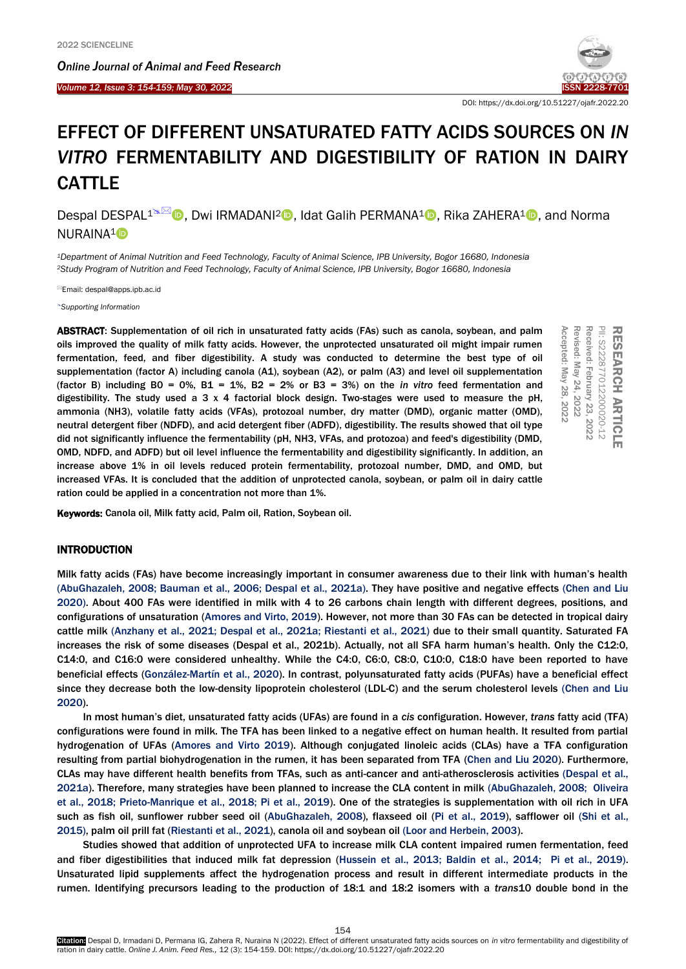

DOI: https://dx.doi.org/10.51227/ojafr.2022.20

# EFFECT OF DIFFERENT UNSATURATED FATTY ACIDS SOURCES ON *IN VITRO* FERMENTABILITY AND DIGESTIBILITY OF RATION IN DAIRY CATTLE

Despal DESPAL<sup>1<sup>8</sup><sup>2</sup> **D**[,](https://orcid.org/0000-0002-0855-0643) Dwi IRMADANI<sup>2</sup> **D**, Idat Galih PERMANA<sup>1</sup> **D**, Rika ZAHERA<sup>1</sup> **D**, and Norma</sup> NURAINA<sup>[1](https://orcid.org/0000-0002-6010-9505)</sup>D

*<sup>1</sup>Department of Animal Nutrition and Feed Technology, Faculty of Animal Science, IPB University, Bogor 16680, Indonesia <sup>2</sup>Study Program of Nutrition and Feed Technology, Faculty of Animal Science, IPB University, Bogor 16680, Indonesia*

Email: despal@apps.ipb.ac.id

*[Supporting Information](#page-4-0)*

ABSTRACT: Supplementation of oil rich in unsaturated fatty acids (FAs) such as canola, soybean, and palm oils improved the quality of milk fatty acids. However, the unprotected unsaturated oil might impair rumen fermentation, feed, and fiber digestibility. A study was conducted to determine the best type of oil supplementation (factor A) including canola (A1), soybean (A2), or palm (A3) and level oil supplementation (factor B) including  $B0 = 0\%$ ,  $B1 = 1\%$ ,  $B2 = 2\%$  or  $B3 = 3\%$ ) on the *in* vitro feed fermentation and digestibility. The study used a  $3 \times 4$  factorial block design. Two-stages were used to measure the pH, ammonia (NH3), volatile fatty acids (VFAs), protozoal number, dry matter (DMD), organic matter (OMD), neutral detergent fiber (NDFD), and acid detergent fiber (ADFD), digestibility. The results showed that oil type did not significantly influence the fermentability (pH, NH3, VFAs, and protozoa) and feed's digestibility (DMD, OMD, NDFD, and ADFD) but oil level influence the fermentability and digestibility significantly. In addition, an increase above 1% in oil levels reduced protein fermentability, protozoal number, DMD, and OMD, but increased VFAs. It is concluded that the addition of unprotected canola, soybean, or palm oil in dairy cattle ration could be applied in a concentration not more than 1%. **ABSTRACT:** Supplementation of oil rich in unsaturated fatty acids (FAs) such as canola, soybean, and palm<br>oils improved the quality of milk fatty acids. However, the unprotected unsaturated oil might impair runnen<br>ferment

# INTRODUCTION

Milk fatty acids (FAs) have become increasingly important in consumer awareness due to their link with human's health [\(AbuGhazaleh, 2008; Bauman et al.,](#page-5-0) 2006; Despal et al., 2021a). They have positive and negative effects [\(Chen and Liu](#page-5-0)  2020). About 400 FAs were identified in milk with 4 to 26 carbons chain length with different degrees, positions, and configurations of unsaturation (Amores and Virto, 2019). However, not more than 30 FAs can be detected in tropical dairy cattle milk (Anzhany et al., [2021; Despal et al., 2021a; Riestanti et al.,](#page-5-0) 2021) due to their small quantity. Saturated FA increases the risk of some diseases (Despal et al., 2021b). Actually, not all SFA harm human's health. Only the C12:0, C14:0, and C16:0 were considered unhealthy. While the C4:0, C6:0, C8:0, C10:0, C18:0 have been reported to have beneficial effects [\(González-Martín et al., 2020\).](#page-5-0) In contrast, polyunsaturated fatty acids (PUFAs) have a beneficial effect since they decrease both the low-density lipoprotein cholesterol (LDL-C) and the serum cholesterol levels [\(Chen and Liu](#page-5-0)  2020).

In most human's diet, unsaturated fatty acids (UFAs) are found in a *cis* configuration. However, *trans* fatty acid (TFA) configurations were found in milk. The TFA has been linked to a negative effect on human health. It resulted from partial hydrogenation of UFAs [\(Amores and Virto 2019\).](#page-5-0) Although conjugated linoleic acids (CLAs) have a TFA configuration resulting from partial biohydrogenation in the rumen, it has been separated from TFA [\(Chen and Liu 2020\).](#page-5-0) Furthermore, CLAs may have different health benefits from TFAs, such as anti-cancer and anti-atherosclerosis activities [\(Despal et al.,](#page-5-0) 2021a). Therefore, many strategies have been planned to increase the CLA content in milk [\(AbuGhazaleh, 2008; Oliveira](#page-5-0)  [et al., 2018; Prieto-Manrique et al., 2018; Pi et al., 2019\).](#page-5-0) One of the strategies is supplementation with oil rich in UFA such as fish oil, sunflower rubber seed oil [\(AbuGhazaleh, 2008\),](#page-5-0) flaxseed oil (Pi et al., 2019), safflower oil (Shi et al., 2015), palm oil prill fat [\(Riestanti et al.,](#page-5-0) 2021), canola oil and soybean oil [\(Loor and Herbein, 2003\).](#page-5-0)

Studies showed that addition of unprotected UFA to increase milk CLA content impaired rumen fermentation, feed and fiber digestibilities that induced milk fat depression (Hussein et al., 2013; Baldin et al., 2014; Pi et al., 2019). Unsaturated lipid supplements affect the hydrogenation process and result in different intermediate products in the rumen. Identifying precursors leading to the production of 18:1 and 18:2 isomers with a *trans*10 double bond in the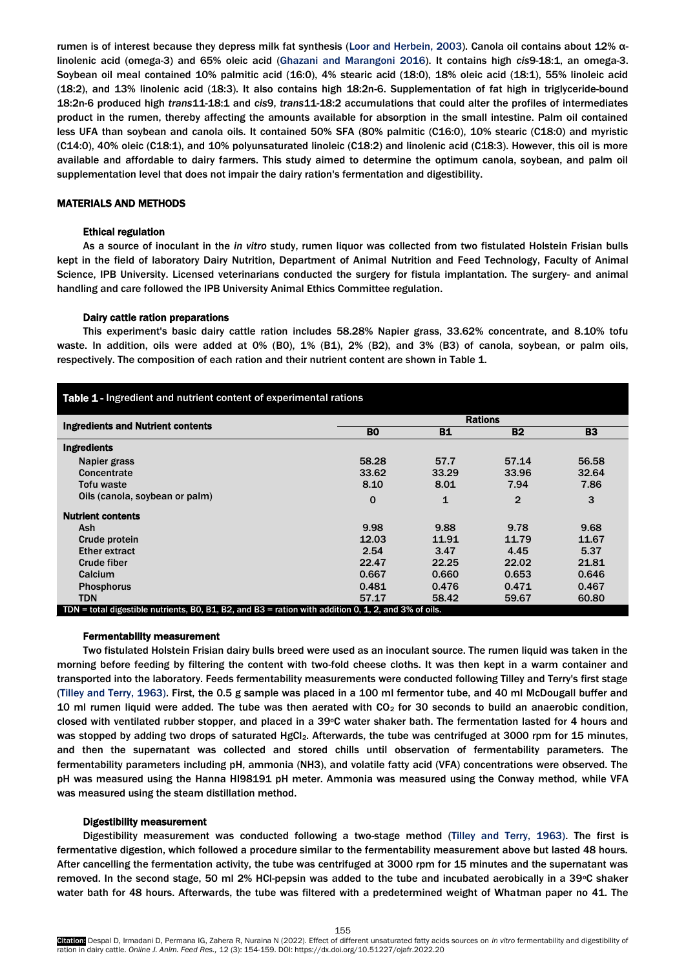rumen is of interest because they depress milk fat synthesis [\(Loor and Herbein, 2003\)](#page-5-0). Canola oil contains about 12% αlinolenic acid (omega-3) and 65% oleic acid [\(Ghazani and Marangoni 2016\).](#page-5-0) It contains high *cis*9-18:1, an omega-3. Soybean oil meal contained 10% palmitic acid (16:0), 4% stearic acid (18:0), 18% oleic acid (18:1), 55% linoleic acid (18:2), and 13% linolenic acid (18:3). It also contains high 18:2n-6. Supplementation of fat high in triglyceride-bound 18:2n-6 produced high *trans*11-18:1 and *cis*9, *trans*11-18:2 accumulations that could alter the profiles of intermediates product in the rumen, thereby affecting the amounts available for absorption in the small intestine. Palm oil contained less UFA than soybean and canola oils. It contained 50% SFA (80% palmitic (C16:0), 10% stearic (C18:0) and myristic (C14:0), 40% oleic (C18:1), and 10% polyunsaturated linoleic (C18:2) and linolenic acid (C18:3). However, this oil is more available and affordable to dairy farmers. This study aimed to determine the optimum canola, soybean, and palm oil supplementation level that does not impair the dairy ration's fermentation and digestibility.

# MATERIALS AND METHODS

# Ethical regulation

As a source of inoculant in the *in vitro* study, rumen liquor was collected from two fistulated Holstein Frisian bulls kept in the field of laboratory Dairy Nutrition, Department of Animal Nutrition and Feed Technology, Faculty of Animal Science, IPB University. Licensed veterinarians conducted the surgery for fistula implantation. The surgery- and animal handling and care followed the IPB University Animal Ethics Committee regulation.

# Dairy cattle ration preparations

This experiment's basic dairy cattle ration includes 58.28% Napier grass, 33.62% concentrate, and 8.10% tofu waste. In addition, oils were added at 0% (B0), 1% (B1), 2% (B2), and 3% (B3) of canola, soybean, or palm oils, respectively. The composition of each ration and their nutrient content are shown in Table 1.

| <b>Table 1 - Ingredient and nutrient content of experimental rations</b>                             |                |              |                |           |  |  |  |
|------------------------------------------------------------------------------------------------------|----------------|--------------|----------------|-----------|--|--|--|
|                                                                                                      | <b>Rations</b> |              |                |           |  |  |  |
| <b>Ingredients and Nutrient contents</b>                                                             | <b>BO</b>      | <b>B1</b>    | <b>B2</b>      | <b>B3</b> |  |  |  |
| <b>Ingredients</b>                                                                                   |                |              |                |           |  |  |  |
| Napier grass                                                                                         | 58.28          | 57.7         | 57.14          | 56.58     |  |  |  |
| Concentrate                                                                                          | 33.62          | 33.29        | 33.96          | 32.64     |  |  |  |
| Tofu waste                                                                                           | 8.10           | 8.01         | 7.94           | 7.86      |  |  |  |
| Oils (canola, soybean or palm)                                                                       | $\mathbf 0$    | $\mathbf{1}$ | $\overline{2}$ | 3         |  |  |  |
| <b>Nutrient contents</b>                                                                             |                |              |                |           |  |  |  |
| Ash                                                                                                  | 9.98           | 9.88         | 9.78           | 9.68      |  |  |  |
| Crude protein                                                                                        | 12.03          | 11.91        | 11.79          | 11.67     |  |  |  |
| <b>Ether extract</b>                                                                                 | 2.54           | 3.47         | 4.45           | 5.37      |  |  |  |
| Crude fiber                                                                                          | 22.47          | 22.25        | 22.02          | 21.81     |  |  |  |
| Calcium                                                                                              | 0.667          | 0.660        | 0.653          | 0.646     |  |  |  |
| <b>Phosphorus</b>                                                                                    | 0.481          | 0.476        | 0.471          | 0.467     |  |  |  |
| TDN                                                                                                  | 57.17          | 58.42        | 59.67          | 60.80     |  |  |  |
| TDN = total digestible nutrients, BO, B1, B2, and B3 = ration with addition 0, 1, 2, and 3% of oils. |                |              |                |           |  |  |  |

# Fermentability measurement

Two fistulated Holstein Frisian dairy bulls breed were used as an inoculant source. The rumen liquid was taken in the morning before feeding by filtering the content with two-fold cheese cloths. It was then kept in a warm container and transported into the laboratory. Feeds fermentability measurements were conducted following Tilley and Terry's first stage [\(Tilley and Terry, 1963\).](#page-5-0) First, the 0.5 g sample was placed in a 100 ml fermentor tube, and 40 ml McDougall buffer and 10 ml rumen liquid were added. The tube was then aerated with  $CO<sub>2</sub>$  for 30 seconds to build an anaerobic condition, closed with ventilated rubber stopper, and placed in a 39oC water shaker bath. The fermentation lasted for 4 hours and was stopped by adding two drops of saturated HgCl<sub>2</sub>. Afterwards, the tube was centrifuged at 3000 rpm for 15 minutes, and then the supernatant was collected and stored chills until observation of fermentability parameters. The fermentability parameters including pH, ammonia (NH3), and volatile fatty acid (VFA) concentrations were observed. The pH was measured using the Hanna HI98191 pH meter. Ammonia was measured using the Conway method, while VFA was measured using the steam distillation method.

# Digestibility measurement

Digestibility measurement was conducted following a two-stage method [\(Tilley and Terry, 1963\).](#page-5-0) The first is fermentative digestion, which followed a procedure similar to the fermentability measurement above but lasted 48 hours. After cancelling the fermentation activity, the tube was centrifuged at 3000 rpm for 15 minutes and the supernatant was removed. In the second stage, 50 ml 2% HCI-pepsin was added to the tube and incubated aerobically in a 39°C shaker water bath for 48 hours. Afterwards, the tube was filtered with a predetermined weight of Whatman paper no 41. The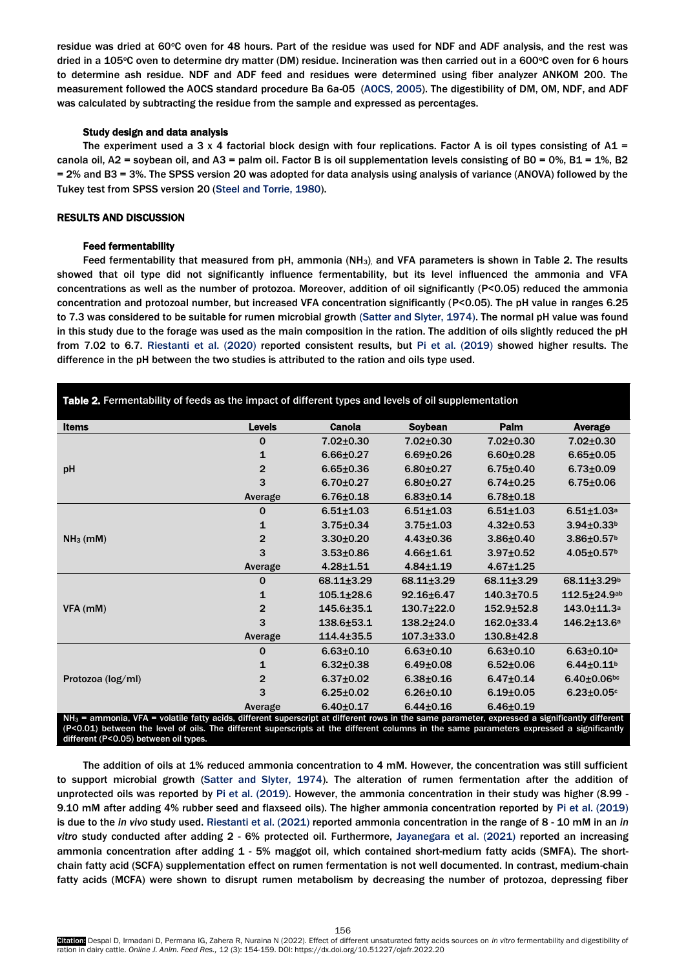residue was dried at 60°C oven for 48 hours. Part of the residue was used for NDF and ADF analysis, and the rest was dried in a 105°C oven to determine dry matter (DM) residue. Incineration was then carried out in a 600°C oven for 6 hours to determine ash residue. NDF and ADF feed and residues were determined using fiber analyzer ANKOM 200. The measurement followed the AOCS standard procedure Ba 6a-05 [\(AOCS, 2005\).](#page-5-0) The digestibility of DM, OM, NDF, and ADF was calculated by subtracting the residue from the sample and expressed as percentages.

# Study design and data analysis

The experiment used a 3 x 4 factorial block design with four replications. Factor A is oil types consisting of A1 = canola oil,  $A2$  = soybean oil, and  $A3$  = palm oil. Factor B is oil supplementation levels consisting of B0 = 0%, B1 = 1%, B2 = 2% and B3 = 3%. The SPSS version 20 was adopted for data analysis using analysis of variance (ANOVA) followed by the Tukey test from SPSS version 20 [\(Steel and Torrie, 1980\).](#page-5-0)

# RESULTS AND DISCUSSION

# Feed fermentability

Feed fermentability that measured from pH, ammonia (NH3), and VFA parameters is shown in Table 2. The results showed that oil type did not significantly influence fermentability, but its level influenced the ammonia and VFA concentrations as well as the number of protozoa. Moreover, addition of oil significantly (P<0.05) reduced the ammonia concentration and protozoal number, but increased VFA concentration significantly (P<0.05). The pH value in ranges 6.25 to 7.3 was considered to be suitable for rumen microbial growth [\(Satter and Slyter, 1974\).](#page-5-0) The normal pH value was found in this study due to the forage was used as the main composition in the ration. The addition of oils slightly reduced the pH from 7.02 to 6.7. [Riestanti et al.](#page-5-0) (2020) reported consistent results, but [Pi et al. \(2019\)](#page-5-0) showed higher results. The difference in the pH between the two studies is attributed to the ration and oils type used.

| Table 2. Fermentability of feeds as the impact of different types and levels of oil supplementation                                                                                                                                                                                                                                  |                |                  |                 |                  |                              |  |  |  |
|--------------------------------------------------------------------------------------------------------------------------------------------------------------------------------------------------------------------------------------------------------------------------------------------------------------------------------------|----------------|------------------|-----------------|------------------|------------------------------|--|--|--|
| <b>Items</b>                                                                                                                                                                                                                                                                                                                         | <b>Levels</b>  | Canola           | Soybean         | Palm             | Average                      |  |  |  |
|                                                                                                                                                                                                                                                                                                                                      | 0              | $7.02 \pm 0.30$  | $7.02 \pm 0.30$ | $7.02 \pm 0.30$  | 7.02±0.30                    |  |  |  |
|                                                                                                                                                                                                                                                                                                                                      | 1              | $6.66 \pm 0.27$  | $6.69 + 0.26$   | $6.60 \pm 0.28$  | $6.65 \pm 0.05$              |  |  |  |
| pH                                                                                                                                                                                                                                                                                                                                   | 2              | $6.65 \pm 0.36$  | $6.80 \pm 0.27$ | $6.75 \pm 0.40$  | $6.73{\pm}0.09$              |  |  |  |
|                                                                                                                                                                                                                                                                                                                                      | 3              | $6.70 \pm 0.27$  | $6.80 \pm 0.27$ | $6.74 \pm 0.25$  | $6.75 \pm 0.06$              |  |  |  |
|                                                                                                                                                                                                                                                                                                                                      | Average        | $6.76 \pm 0.18$  | $6.83{\pm}0.14$ | $6.78 + 0.18$    |                              |  |  |  |
|                                                                                                                                                                                                                                                                                                                                      | 0              | $6.51 \pm 1.03$  | $6.51 \pm 1.03$ | $6.51 \pm 1.03$  | $6.51 \pm 1.03$ a            |  |  |  |
|                                                                                                                                                                                                                                                                                                                                      | 1              | $3.75 \pm 0.34$  | $3.75 + 1.03$   | $4.32 \pm 0.53$  | $3.94 \pm 0.33$ <sup>b</sup> |  |  |  |
| $NH3$ (mM)                                                                                                                                                                                                                                                                                                                           | 2              | $3.30 + 0.20$    | $4.43 \pm 0.36$ | $3.86 \pm 0.40$  | 3.86±0.57 <sup>b</sup>       |  |  |  |
|                                                                                                                                                                                                                                                                                                                                      | 3              | $3.53 + 0.86$    | $4.66 + 1.61$   | $3.97 \pm 0.52$  | $4.05 \pm 0.57$ <sup>b</sup> |  |  |  |
|                                                                                                                                                                                                                                                                                                                                      | Average        | $4.28 + 1.51$    | $4.84 \pm 1.19$ | $4.67 + 1.25$    |                              |  |  |  |
|                                                                                                                                                                                                                                                                                                                                      | 0              | 68.11±3.29       | 68.11±3.29      | 68.11±3.29       | 68.11±3.29 <sup>b</sup>      |  |  |  |
|                                                                                                                                                                                                                                                                                                                                      | 1              | $105.1 \pm 28.6$ | 92.16±6.47      | $140.3 \pm 70.5$ | $112.5 + 24.9$ ab            |  |  |  |
| VFA (mM)                                                                                                                                                                                                                                                                                                                             | $\overline{2}$ | 145.6±35.1       | $130.7 + 22.0$  | $152.9 + 52.8$   | $143.0 \pm 11.3$ a           |  |  |  |
|                                                                                                                                                                                                                                                                                                                                      | 3              | 138.6±53.1       | 138.2±24.0      | $162.0 \pm 33.4$ | $146.2 \pm 13.6^a$           |  |  |  |
|                                                                                                                                                                                                                                                                                                                                      | Average        | $114.4 \pm 35.5$ | $107.3 + 33.0$  | $130.8 + 42.8$   |                              |  |  |  |
|                                                                                                                                                                                                                                                                                                                                      | 0              | $6.63 + 0.10$    | $6.63{\pm}0.10$ | $6.63{\pm}0.10$  | $6.63{\pm}0.10^{\text{a}}$   |  |  |  |
|                                                                                                                                                                                                                                                                                                                                      | 1              | $6.32{\pm}0.38$  | $6.49{\pm}0.08$ | $6.52 \pm 0.06$  | $6.44 \pm 0.11$ <sup>b</sup> |  |  |  |
| Protozoa (log/ml)                                                                                                                                                                                                                                                                                                                    | $\overline{2}$ | $6.37 \pm 0.02$  | $6.38 + 0.16$   | $6.47 \pm 0.14$  | $6.40 \pm 0.06$ bc           |  |  |  |
|                                                                                                                                                                                                                                                                                                                                      | 3              | $6.25 \pm 0.02$  | $6.26 \pm 0.10$ | $6.19 + 0.05$    | $6.23 \pm 0.05$ c            |  |  |  |
|                                                                                                                                                                                                                                                                                                                                      | Average        | $6.40 \pm 0.17$  | $6.44 \pm 0.16$ | $6.46 \pm 0.19$  |                              |  |  |  |
| $NH3$ = ammonia, VFA = volatile fatty acids, different superscript at different rows in the same parameter, expressed a significantly different<br>(P<0.01) between the level of oils. The different superscripts at the different columns in the same parameters expressed a significantly<br>different (P<0.05) between oil types. |                |                  |                 |                  |                              |  |  |  |

The addition of oils at 1% reduced ammonia concentration to 4 mM. However, the concentration was still sufficient to support microbial growth [\(Satter and Slyter, 1974\).](#page-5-0) The alteration of rumen fermentation after the addition of unprotected oils was reported by [Pi et al. \(2019\)](#page-5-0). However, the ammonia concentration in their study was higher (8.99 - 9.10 mM after adding 4% rubber seed and flaxseed oils). The higher ammonia concentration reported by [Pi et al. \(2019\)](#page-5-0) is due to the *in vivo* study used. [Riestanti et al. \(2021\)](#page-5-0) reported ammonia concentration in the range of 8 - 10 mM in an *in vitro* study conducted after adding 2 - 6% protected oil. Furthermore, [Jayanegara et al.](#page-5-0) (2021) reported an increasing ammonia concentration after adding 1 - 5% maggot oil, which contained short-medium fatty acids (SMFA). The shortchain fatty acid (SCFA) supplementation effect on rumen fermentation is not well documented. In contrast, medium-chain fatty acids (MCFA) were shown to disrupt rumen metabolism by decreasing the number of protozoa, depressing fiber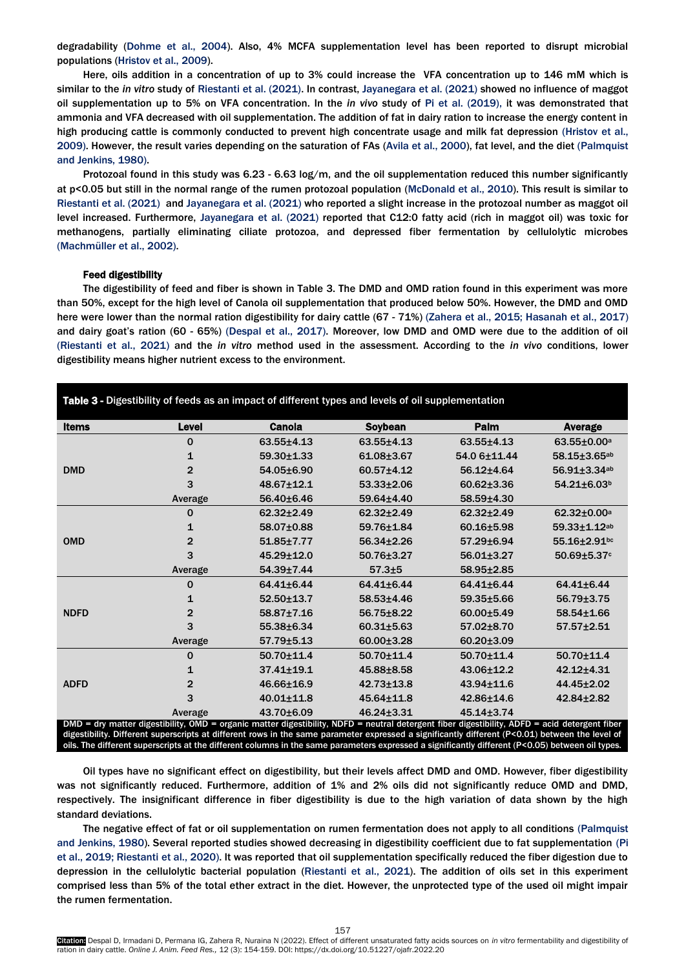degradability [\(Dohme et al., 2004\).](#page-5-0) Also, 4% MCFA supplementation level has been reported to disrupt microbial populations [\(Hristov et al., 2009\).](#page-5-0)

Here, oils addition in a concentration of up to 3% could increase the VFA concentration up to 146 mM which is similar to the *in vitro* study of [Riestanti et al. \(2021\).](#page-5-0) In contrast, [Jayanegara et al.](#page-5-0) (2021) showed no influence of maggot oil supplementation up to 5% on VFA concentration. In the *in vivo* study of [Pi et al. \(2019\),](#page-5-0) it was demonstrated that ammonia and VFA decreased with oil supplementation. The addition of fat in dairy ration to increase the energy content in high producing cattle is commonly conducted to prevent high concentrate usage and milk fat depression [\(Hristov et al.,](#page-5-0) 2009). However, the result varies depending on the saturation of FAs [\(Avila et al., 2000\),](#page-5-0) fat level, and the diet [\(Palmquist](#page-5-0)  [and Jenkins, 1980\).](#page-5-0) 

Protozoal found in this study was 6.23 - 6.63 log/m, and the oil supplementation reduced this number significantly at p<0.05 but still in the normal range of the rumen protozoal population [\(McDonald et al.,](#page-5-0) 2010). This result is similar to [Riestanti et al. \(2021\) and Jayanegara et al. \(2021\)](#page-5-0) who reported a slight increase in the protozoal number as maggot oil level increased. Furthermore, [Jayanegara et al. \(2021\) r](#page-5-0)eported that C12:0 fatty acid (rich in maggot oil) was toxic for methanogens, partially eliminating ciliate protozoa, and depressed fiber fermentation by cellulolytic microbes (Machmüller [et al., 2002\).](#page-5-0)

# Feed digestibility

The digestibility of feed and fiber is shown in Table 3. The DMD and OMD ration found in this experiment was more than 50%, except for the high level of Canola oil supplementation that produced below 50%. However, the DMD and OMD here were lower than the normal ration digestibility for dairy cattle (67 - 71%[\) \(Zahera et al.,](#page-5-0) 2015; Hasanah et al., 2017) and dairy goat's ration (60 - 65%) [\(Despal et al., 2017\).](#page-5-0) Moreover, low DMD and OMD were due to the addition of oil [\(Riestanti et al., 2021\)](#page-5-0) and the *in vitro* method used in the assessment. According to the *in vivo* conditions, lower digestibility means higher nutrient excess to the environment.

| Table 3 - Digestibility of feeds as an impact of different types and levels of oil supplementation |                |                                                                                                                                               |                  |                  |                         |  |  |  |
|----------------------------------------------------------------------------------------------------|----------------|-----------------------------------------------------------------------------------------------------------------------------------------------|------------------|------------------|-------------------------|--|--|--|
| <b>Items</b>                                                                                       | Level          | Canola                                                                                                                                        | Soybean          | Palm             | Average                 |  |  |  |
| <b>DMD</b>                                                                                         | $\mathbf 0$    | 63.55±4.13                                                                                                                                    | 63.55±4.13       | 63.55±4.13       | 63.55±0.00 <sup>a</sup> |  |  |  |
|                                                                                                    | 1              | $59.30 \pm 1.33$                                                                                                                              | 61.08±3.67       | 54.0 6±11.44     | 58.15±3.65ab            |  |  |  |
|                                                                                                    | $\overline{2}$ | 54.05±6.90                                                                                                                                    | 60.57±4.12       | 56.12±4.64       | 56.91±3.34ab            |  |  |  |
|                                                                                                    | 3              | 48.67±12.1                                                                                                                                    | $53.33 \pm 2.06$ | 60.62±3.36       | 54.21±6.03 <sup>b</sup> |  |  |  |
|                                                                                                    | Average        | 56.40±6.46                                                                                                                                    | 59.64±4.40       | 58.59±4.30       |                         |  |  |  |
| <b>OMD</b>                                                                                         | $\mathbf 0$    | 62.32+2.49                                                                                                                                    | 62.32+2.49       | $62.32 + 2.49$   | 62.32±0.00 <sup>a</sup> |  |  |  |
|                                                                                                    | 1              | 58.07±0.88                                                                                                                                    | 59.76±1.84       | 60.16±5.98       | 59.33±1.12ab            |  |  |  |
|                                                                                                    | $\overline{2}$ | 51.85±7.77                                                                                                                                    | $56.34 \pm 2.26$ | $57.29 \pm 6.94$ | 55.16±2.91bc            |  |  |  |
|                                                                                                    | 3              | 45.29±12.0                                                                                                                                    | 50.76±3.27       | $56.01 \pm 3.27$ | 50.69±5.37c             |  |  |  |
|                                                                                                    | Average        | 54.39±7.44                                                                                                                                    | $57.3 + 5$       | $58.95 \pm 2.85$ |                         |  |  |  |
| <b>NDFD</b>                                                                                        | $\mathbf 0$    | 64.41+6.44                                                                                                                                    | 64.41+6.44       | 64.41+6.44       | 64.41±6.44              |  |  |  |
|                                                                                                    | 1              | $52.50 \pm 13.7$                                                                                                                              | 58.53±4.46       | $59.35 \pm 5.66$ | 56.79±3.75              |  |  |  |
|                                                                                                    | 2              | 58.87±7.16                                                                                                                                    | 56.75±8.22       | $60.00 \pm 5.49$ | 58.54±1.66              |  |  |  |
|                                                                                                    | 3              | 55.38±6.34                                                                                                                                    | $60.31 \pm 5.63$ | 57.02±8.70       | $57.57 + 2.51$          |  |  |  |
|                                                                                                    | Average        | 57.79±5.13                                                                                                                                    | 60.00±3.28       | 60.20±3.09       |                         |  |  |  |
| <b>ADFD</b>                                                                                        | $\mathbf 0$    | $50.70 + 11.4$                                                                                                                                | $50.70 \pm 11.4$ | $50.70 \pm 11.4$ | $50.70 \pm 11.4$        |  |  |  |
|                                                                                                    | 1              | 37.41+19.1                                                                                                                                    | 45.88±8.58       | 43.06±12.2       | 42.12±4.31              |  |  |  |
|                                                                                                    | $\overline{2}$ | 46.66±16.9                                                                                                                                    | $42.73 + 13.8$   | $43.94 \pm 11.6$ | 44.45±2.02              |  |  |  |
|                                                                                                    | 3              | $40.01 \pm 11.8$                                                                                                                              | $45.64 \pm 11.8$ | 42.86±14.6       | 42.84±2.82              |  |  |  |
|                                                                                                    | Average        | 43.70±6.09                                                                                                                                    | 46.24±3.31       | $45.14 \pm 3.74$ |                         |  |  |  |
|                                                                                                    |                | DMD = dry matter digestibility, OMD = organic matter digestibility, NDFD = neutral detergent fiber digestibility, ADFD = acid detergent fiber |                  |                  |                         |  |  |  |

estibility. Different superscripts at different rows in the same parameter expressed a significantly different (P<0.01) between the level of oils. The different superscripts at the different columns in the same parameters expressed a significantly different (P<0.05) between oil types.

Oil types have no significant effect on digestibility, but their levels affect DMD and OMD. However, fiber digestibility was not significantly reduced. Furthermore, addition of 1% and 2% oils did not significantly reduce OMD and DMD, respectively. The insignificant difference in fiber digestibility is due to the high variation of data shown by the high standard deviations.

The negative effect of fat or oil supplementation on rumen fermentation does not apply to all conditions [\(Palmquist](#page-5-0)  [and Jenkins, 1980\).](#page-5-0) Several reported studies showed decreasing in digestibility coefficient due to fat supplementation (Pi [et al., 2019; Riestanti et al.,](#page-5-0) 2020). It was reported that oil supplementation specifically reduced the fiber digestion due to depression in the cellulolytic bacterial population [\(Riestanti et al.,](#page-5-0) 2021). The addition of oils set in this experiment comprised less than 5% of the total ether extract in the diet. However, the unprotected type of the used oil might impair the rumen fermentation.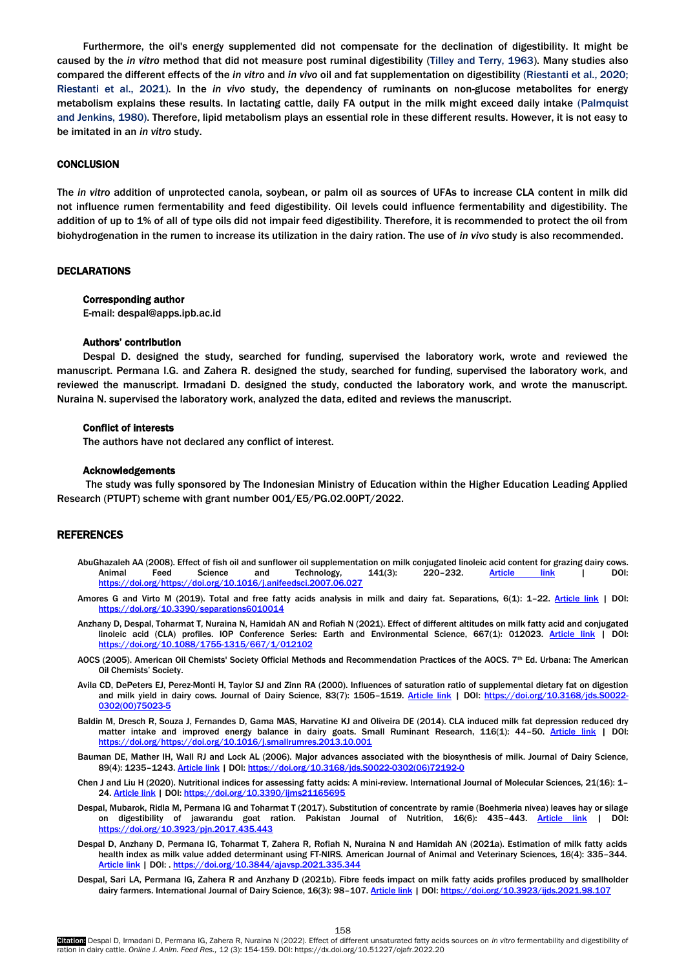<span id="page-4-0"></span>Furthermore, the oil's energy supplemented did not compensate for the declination of digestibility. It might be caused by the *in vitro* method that did not measure post ruminal digestibility [\(Tilley and Terry, 1963\).](#page-5-0) Many studies also compared the different effects of the *in vitro* and *in vivo* oil and fat supplementation on digestibility [\(Riestanti et al., 2020;](#page-5-0)  [Riestanti et al.,](#page-5-0) 2021). In the *in vivo* study, the dependency of ruminants on non-glucose metabolites for energy metabolism explains these results. In lactating cattle, daily FA output in the milk might exceed daily intake [\(Palmquist](#page-5-0)  [and Jenkins,](#page-5-0) 1980). Therefore, lipid metabolism plays an essential role in these different results. However, it is not easy to be imitated in an *in vitro* study.

# **CONCLUSION**

The *in vitro* addition of unprotected canola, soybean, or palm oil as sources of UFAs to increase CLA content in milk did not influence rumen fermentability and feed digestibility. Oil levels could influence fermentability and digestibility. The addition of up to 1% of all of type oils did not impair feed digestibility. Therefore, it is recommended to protect the oil from biohydrogenation in the rumen to increase its utilization in the dairy ration. The use of *in vivo* study is also recommended.

## DECLARATIONS

#### Corresponding author

E-mail: [despal@apps.ipb.ac.id](mailto:despal@apps.ipb.ac.id)

#### Authors' contribution

Despal D. designed the study, searched for funding, supervised the laboratory work, wrote and reviewed the manuscript. Permana I.G. and Zahera R. designed the study, searched for funding, supervised the laboratory work, and reviewed the manuscript. Irmadani D. designed the study, conducted the laboratory work, and wrote the manuscript. Nuraina N. supervised the laboratory work, analyzed the data, edited and reviews the manuscript.

#### Conflict of interests

The authors have not declared any conflict of interest.

## Acknowledgements

The study was fully sponsored by The Indonesian Ministry of Education within the Higher Education Leading Applied Research (PTUPT) scheme with grant number 001/E5/PG.02.00PT/2022.

# **REFERENCES**

- AbuGhazaleh AA (2008). Effect of fish oil and sunflower oil supplementation on milk conjugated linoleic acid content for grazing dairy cows.<br>Animal Feed Science and Technology. 141/3): 220-232. Article link I DOI: Animal Feed Science and Technology, 141(3): 220–232. <u>[Article link](https://www.sciencedirect.com/science/article/pii/S0377840107002416?casa_token=7PCWkew8bL4AAAAA:8uf48EfAY3vfyLC0SVIsk3NIrXjAb_1OH79Y3QxBqbjvs59NfpzNPZYfwq5yBLikuqEh1Yu46QF_)</u> | DOI: [https://doi.org/https://doi.org/10.1016/j.anifeedsci.2007.06.027](https://doi.org/https:/doi.org/10.1016/j.anifeedsci.2007.06.027)
- Amores G and Virto M (2019). Total and free fatty acids analysis in milk and dairy fat. Separations, 6(1): 1-22. [Article link](https://www.mdpi.com/2297-8739/6/1/14) | DOI: <https://doi.org/10.3390/separations6010014>
- Anzhany D, Despal, Toharmat T, Nuraina N, Hamidah AN and Rofiah N (2021). Effect of different altitudes on milk fatty acid and conjugated linoleic acid (CLA) profiles. IOP Conference Series: Earth and Environmental Science, 667(1): 012023. [Article link](https://iopscience.iop.org/article/10.1088/1755-1315/667/1/012102/meta) | DOI: <https://doi.org/10.1088/1755-1315/667/1/012102>
- AOCS (2005). American Oil Chemists' Society Official Methods and Recommendation Practices of the AOCS. 7<sup>th</sup> Ed. Urbana: The American Oil Chemists' Society.
- Avila CD, DePeters EJ, Perez-Monti H, Taylor SJ and Zinn RA (2000). Influences of saturation ratio of supplemental dietary fat on digestion and milk yield in dairy cows. Journal of Dairy Science, 83(7): 1505-1519. [Article link](https://www.sciencedirect.com/science/article/pii/S0022030200750235) | DOI: https://doi.org/10.3168/jds.  $0302(00)$
- Baldin M, Dresch R, Souza J, Fernandes D, Gama MAS, Harvatine KJ and Oliveira DE (2014). CLA induced milk fat depression reduced dry matter intake and improved energy balance in dairy goats. Small Ruminant Research, 116(1): 44-50. [Article link](https://www.sciencedirect.com/science/article/pii/S0921448813002988?casa_token=Sf1lDLrQi3cAAAAA:MatDy87s6fNd3iDcj5cP71ouwQuYqIhLgUF2MMDV9ORTKjqVq_Jjzi39C0JP3RhdcWorEN0iG_Ca) | DOI: rg/https://doi.org/10.1016/j.smallrumres.2013.10.001
- Bauman DE, Mather IH, Wall RJ and Lock AL (2006). Major advances associated with the biosynthesis of milk. Journal of Dairy Science, 89(4): 1235-1243[. Article link](https://www.sciencedirect.com/science/article/pii/S0022030206721920) | DOI: https://doi.org/10.3168/jds.S0022-
- Chen J and Liu H (2020). Nutritional indices for assessing fatty acids: A mini-review. International Journal of Molecular Sciences, 21(16): 1– 24. [Article link](https://www.mdpi.com/1422-0067/21/16/5695) | DOI: https://doi.org/10.3390/ijm
- Despal, Mubarok, Ridla M, Permana IG and Toharmat T (2017). Substitution of concentrate by ramie (Boehmeria nivea) leaves hay or silage on digestibility of jawarandu goat ration. Pakistan Journal of Nutrition, 16(6): 435–443. [Article link](https://scialert.net/abstract/?doi=pjn.2017.435.443) | DOI: <https://doi.org/10.3923/pjn.2017.435.443>
- Despal D, Anzhany D, Permana IG, Toharmat T, Zahera R, Rofiah N, Nuraina N and Hamidah AN (2021a). Estimation of milk fatty acids health index as milk value added determinant using FT-NIRS*.* American Journal of Animal and Veterinary Sciences, 16(4): 335–344. [Article link](https://thescipub.com/abstract/ajavsp.2021.335.344) | DOI: [. https://doi.org/10.3844/ajavsp.2021.335.344](https://doi.org/10.3844/ajavsp.2021.335.344)
- Despal, Sari LA, Permana IG, Zahera R and Anzhany D (2021b). Fibre feeds impact on milk fatty acids profiles produced by smallholder dairy farmers. International Journal of Dairy Science, 16(3): 98-107[. Article link](https://scialert.net/abstract/?doi=ijds.2021.98.107) | DOI: https://doi.org/10.3923/ijds.202.